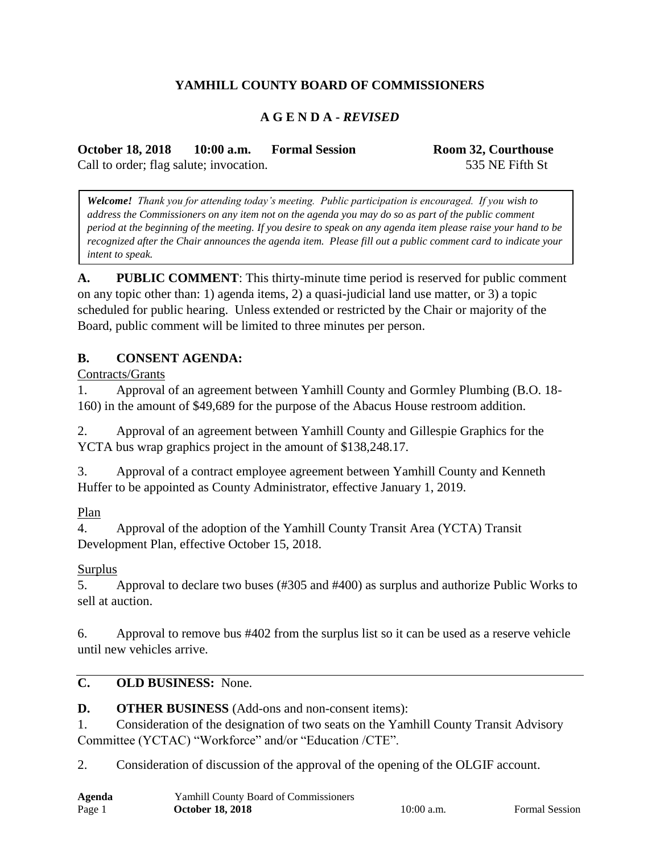# **YAMHILL COUNTY BOARD OF COMMISSIONERS**

#### **A G E N D A -** *REVISED*

**October 18, 2018 10:00 a.m. Formal Session Room 32, Courthouse** Call to order; flag salute; invocation. 535 NE Fifth St

*Welcome! Thank you for attending today's meeting. Public participation is encouraged. If you wish to address the Commissioners on any item not on the agenda you may do so as part of the public comment period at the beginning of the meeting. If you desire to speak on any agenda item please raise your hand to be recognized after the Chair announces the agenda item. Please fill out a public comment card to indicate your intent to speak.*

**A. PUBLIC COMMENT**: This thirty-minute time period is reserved for public comment on any topic other than: 1) agenda items, 2) a quasi-judicial land use matter, or 3) a topic scheduled for public hearing. Unless extended or restricted by the Chair or majority of the Board, public comment will be limited to three minutes per person.

#### **B. CONSENT AGENDA:**

Contracts/Grants

1. Approval of an agreement between Yamhill County and Gormley Plumbing (B.O. 18- 160) in the amount of \$49,689 for the purpose of the Abacus House restroom addition.

2. Approval of an agreement between Yamhill County and Gillespie Graphics for the YCTA bus wrap graphics project in the amount of \$138,248.17.

3. Approval of a contract employee agreement between Yamhill County and Kenneth Huffer to be appointed as County Administrator, effective January 1, 2019.

Plan

4. Approval of the adoption of the Yamhill County Transit Area (YCTA) Transit Development Plan, effective October 15, 2018.

#### **Surplus**

5. Approval to declare two buses (#305 and #400) as surplus and authorize Public Works to sell at auction.

6. Approval to remove bus #402 from the surplus list so it can be used as a reserve vehicle until new vehicles arrive.

## **C. OLD BUSINESS:** None.

**D. OTHER BUSINESS** (Add-ons and non-consent items):

1. Consideration of the designation of two seats on the Yamhill County Transit Advisory Committee (YCTAC) "Workforce" and/or "Education /CTE".

2. Consideration of discussion of the approval of the opening of the OLGIF account.